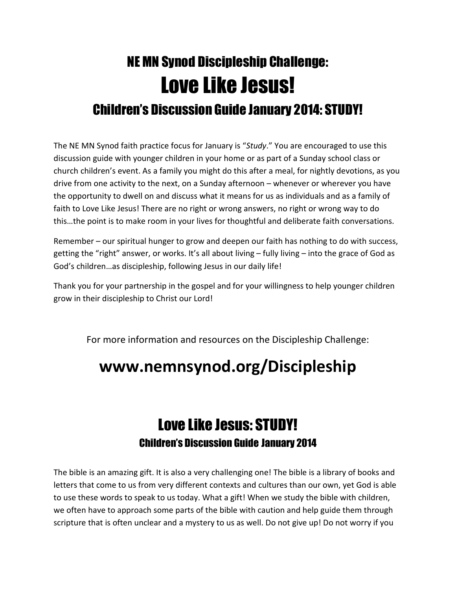## NE MN Synod Discipleship Challenge: Love Like Jesus! Children's Discussion Guide January 2014: STUDY!

The NE MN Synod faith practice focus for January is "Study." You are encouraged to use this discussion guide with younger children in your home or as part of a Sunday school class or church children's event. As a family you might do this after a meal, for nightly devotions, as you drive from one activity to the next, on a Sunday afternoon – whenever or wherever you have the opportunity to dwell on and discuss what it means for us as individuals and as a family of faith to Love Like Jesus! There are no right or wrong answers, no right or wrong way to do this…the point is to make room in your lives for thoughtful and deliberate faith conversations.

Remember – our spiritual hunger to grow and deepen our faith has nothing to do with success, getting the "right" answer, or works. It's all about living – fully living – into the grace of God as God's children…as discipleship, following Jesus in our daily life!

Thank you for your partnership in the gospel and for your willingness to help younger children grow in their discipleship to Christ our Lord!

For more information and resources on the Discipleship Challenge:

## www.nemnsynod.org/Discipleship

## Love Like Jesus: STUDY! Children's Discussion Guide January 2014

The bible is an amazing gift. It is also a very challenging one! The bible is a library of books and letters that come to us from very different contexts and cultures than our own, yet God is able to use these words to speak to us today. What a gift! When we study the bible with children, we often have to approach some parts of the bible with caution and help guide them through scripture that is often unclear and a mystery to us as well. Do not give up! Do not worry if you